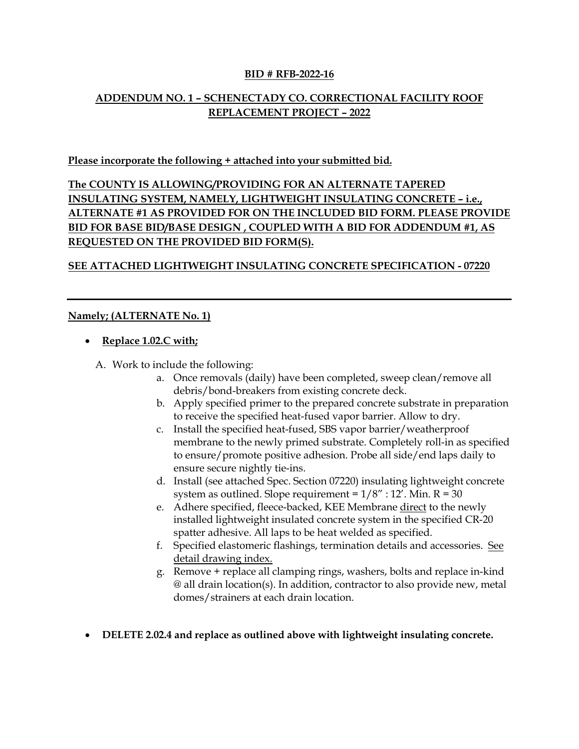#### **BID # RFB-2022-16**

# **ADDENDUM NO. 1 – SCHENECTADY CO. CORRECTIONAL FACILITY ROOF REPLACEMENT PROJECT – 2022**

#### **Please incorporate the following + attached into your submitted bid.**

**The COUNTY IS ALLOWING/PROVIDING FOR AN ALTERNATE TAPERED INSULATING SYSTEM, NAMELY, LIGHTWEIGHT INSULATING CONCRETE – i.e., ALTERNATE #1 AS PROVIDED FOR ON THE INCLUDED BID FORM. PLEASE PROVIDE BID FOR BASE BID/BASE DESIGN , COUPLED WITH A BID FOR ADDENDUM #1, AS REQUESTED ON THE PROVIDED BID FORM(S).**

## **SEE ATTACHED LIGHTWEIGHT INSULATING CONCRETE SPECIFICATION - 07220**

## **Namely; (ALTERNATE No. 1)**

- **Replace 1.02.C with;**
	- A. Work to include the following:
		- a. Once removals (daily) have been completed, sweep clean/remove all debris/bond-breakers from existing concrete deck.
		- b. Apply specified primer to the prepared concrete substrate in preparation to receive the specified heat-fused vapor barrier. Allow to dry.
		- c. Install the specified heat-fused, SBS vapor barrier/weatherproof membrane to the newly primed substrate. Completely roll-in as specified to ensure/promote positive adhesion. Probe all side/end laps daily to ensure secure nightly tie-ins.
		- d. Install (see attached Spec. Section 07220) insulating lightweight concrete system as outlined. Slope requirement =  $1/8$ " :  $12'$ . Min. R = 30
		- e. Adhere specified, fleece-backed, KEE Membrane direct to the newly installed lightweight insulated concrete system in the specified CR-20 spatter adhesive. All laps to be heat welded as specified.
		- f. Specified elastomeric flashings, termination details and accessories. See detail drawing index.
		- g. Remove + replace all clamping rings, washers, bolts and replace in-kind @ all drain location(s). In addition, contractor to also provide new, metal domes/strainers at each drain location.
- **DELETE 2.02.4 and replace as outlined above with lightweight insulating concrete.**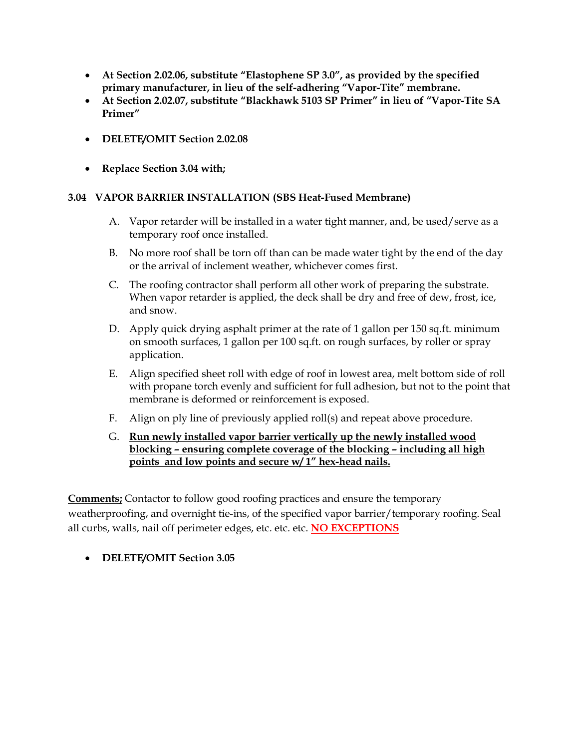- **At Section 2.02.06, substitute "Elastophene SP 3.0", as provided by the specified primary manufacturer, in lieu of the self-adhering "Vapor-Tite" membrane.**
- **At Section 2.02.07, substitute "Blackhawk 5103 SP Primer" in lieu of "Vapor-Tite SA Primer"**
- **DELETE/OMIT Section 2.02.08**
- **Replace Section 3.04 with;**

## **3.04 VAPOR BARRIER INSTALLATION (SBS Heat-Fused Membrane)**

- A. Vapor retarder will be installed in a water tight manner, and, be used/serve as a temporary roof once installed.
- B. No more roof shall be torn off than can be made water tight by the end of the day or the arrival of inclement weather, whichever comes first.
- C. The roofing contractor shall perform all other work of preparing the substrate. When vapor retarder is applied, the deck shall be dry and free of dew, frost, ice, and snow.
- D. Apply quick drying asphalt primer at the rate of 1 gallon per 150 sq.ft. minimum on smooth surfaces, 1 gallon per 100 sq.ft. on rough surfaces, by roller or spray application.
- E. Align specified sheet roll with edge of roof in lowest area, melt bottom side of roll with propane torch evenly and sufficient for full adhesion, but not to the point that membrane is deformed or reinforcement is exposed.
- F. Align on ply line of previously applied roll(s) and repeat above procedure.
- G. **Run newly installed vapor barrier vertically up the newly installed wood blocking – ensuring complete coverage of the blocking – including all high points and low points and secure w/ 1" hex-head nails.**

**Comments;** Contactor to follow good roofing practices and ensure the temporary weatherproofing, and overnight tie-ins, of the specified vapor barrier/temporary roofing. Seal all curbs, walls, nail off perimeter edges, etc. etc. etc. **NO EXCEPTIONS**

• **DELETE/OMIT Section 3.05**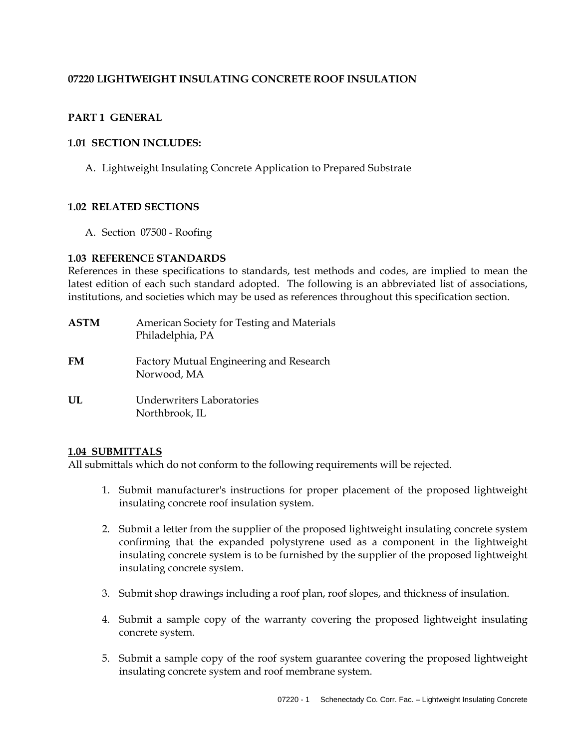## **07220 LIGHTWEIGHT INSULATING CONCRETE ROOF INSULATION**

## **PART 1 GENERAL**

#### **1.01 SECTION INCLUDES:**

A. Lightweight Insulating Concrete Application to Prepared Substrate

#### **1.02 RELATED SECTIONS**

A. Section 07500 - Roofing

#### **1.03 REFERENCE STANDARDS**

References in these specifications to standards, test methods and codes, are implied to mean the latest edition of each such standard adopted. The following is an abbreviated list of associations, institutions, and societies which may be used as references throughout this specification section.

| <b>ASTM</b> | American Society for Testing and Materials<br>Philadelphia, PA |
|-------------|----------------------------------------------------------------|
| FM          | Factory Mutual Engineering and Research<br>Norwood, MA         |
| UL          | Underwriters Laboratories<br>Northbrook, IL                    |

#### **1.04 SUBMITTALS**

All submittals which do not conform to the following requirements will be rejected.

- 1. Submit manufacturer's instructions for proper placement of the proposed lightweight insulating concrete roof insulation system.
- 2. Submit a letter from the supplier of the proposed lightweight insulating concrete system confirming that the expanded polystyrene used as a component in the lightweight insulating concrete system is to be furnished by the supplier of the proposed lightweight insulating concrete system.
- 3. Submit shop drawings including a roof plan, roof slopes, and thickness of insulation.
- 4. Submit a sample copy of the warranty covering the proposed lightweight insulating concrete system.
- 5. Submit a sample copy of the roof system guarantee covering the proposed lightweight insulating concrete system and roof membrane system.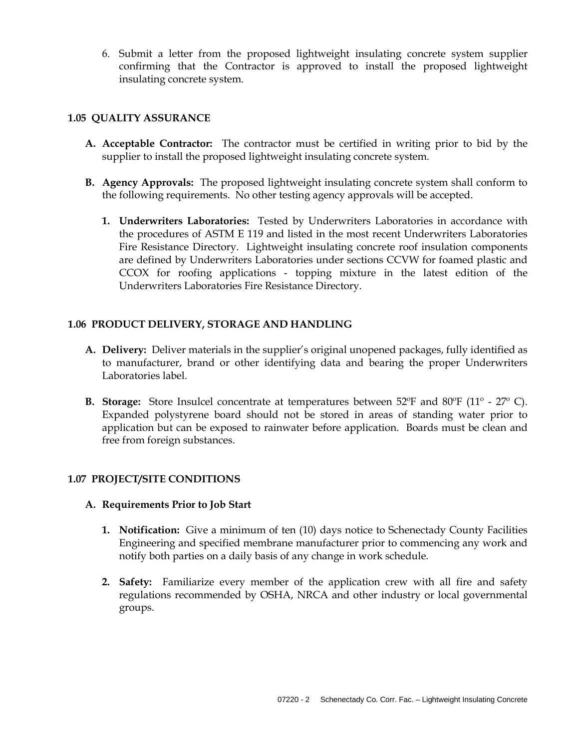6. Submit a letter from the proposed lightweight insulating concrete system supplier confirming that the Contractor is approved to install the proposed lightweight insulating concrete system.

## **1.05 QUALITY ASSURANCE**

- **A. Acceptable Contractor:** The contractor must be certified in writing prior to bid by the supplier to install the proposed lightweight insulating concrete system.
- **B. Agency Approvals:** The proposed lightweight insulating concrete system shall conform to the following requirements. No other testing agency approvals will be accepted.
	- **1. Underwriters Laboratories:** Tested by Underwriters Laboratories in accordance with the procedures of ASTM E 119 and listed in the most recent Underwriters Laboratories Fire Resistance Directory. Lightweight insulating concrete roof insulation components are defined by Underwriters Laboratories under sections CCVW for foamed plastic and CCOX for roofing applications - topping mixture in the latest edition of the Underwriters Laboratories Fire Resistance Directory.

## **1.06 PRODUCT DELIVERY, STORAGE AND HANDLING**

- **A. Delivery:** Deliver materials in the supplier's original unopened packages, fully identified as to manufacturer, brand or other identifying data and bearing the proper Underwriters Laboratories label.
- **B. Storage:** Store Insulcel concentrate at temperatures between 52ºF and 80ºF (11º 27º C). Expanded polystyrene board should not be stored in areas of standing water prior to application but can be exposed to rainwater before application. Boards must be clean and free from foreign substances.

## **1.07 PROJECT/SITE CONDITIONS**

## **A. Requirements Prior to Job Start**

- **1. Notification:** Give a minimum of ten (10) days notice to Schenectady County Facilities Engineering and specified membrane manufacturer prior to commencing any work and notify both parties on a daily basis of any change in work schedule.
- **2. Safety:** Familiarize every member of the application crew with all fire and safety regulations recommended by OSHA, NRCA and other industry or local governmental groups.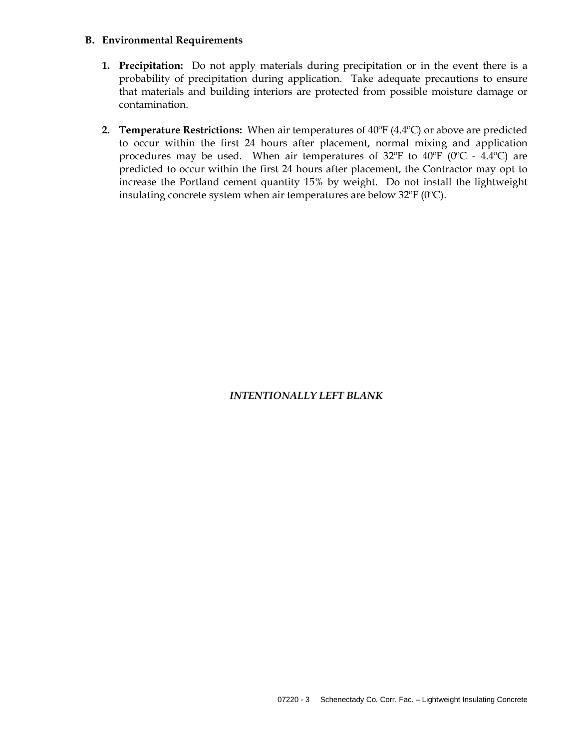#### **B. Environmental Requirements**

- **1. Precipitation:** Do not apply materials during precipitation or in the event there is a probability of precipitation during application. Take adequate precautions to ensure that materials and building interiors are protected from possible moisture damage or contamination.
- **2. Temperature Restrictions:** When air temperatures of 40ºF (4.4ºC) or above are predicted to occur within the first 24 hours after placement, normal mixing and application procedures may be used. When air temperatures of  $32^{\circ}F$  to  $40^{\circ}F$  ( $0^{\circ}C$  -  $4.4^{\circ}C$ ) are predicted to occur within the first 24 hours after placement, the Contractor may opt to increase the Portland cement quantity 15% by weight. Do not install the lightweight insulating concrete system when air temperatures are below 32ºF (0ºC).

## *INTENTIONALLY LEFT BLANK*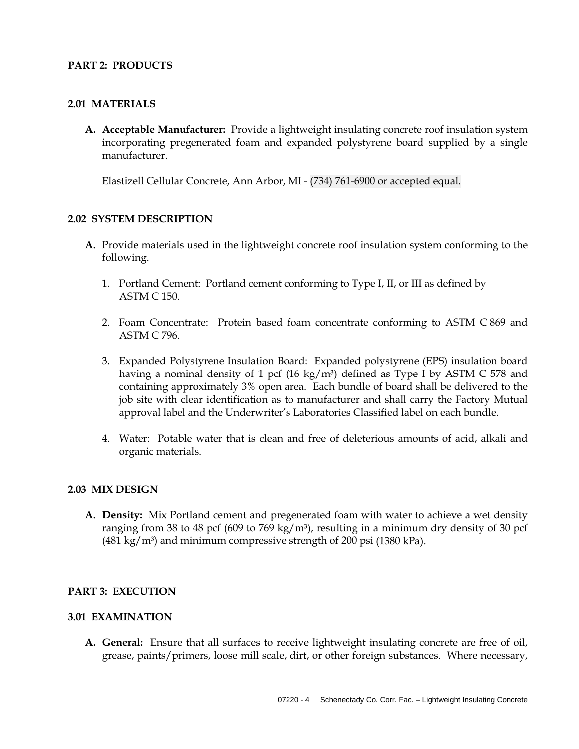## **PART 2: PRODUCTS**

#### **2.01 MATERIALS**

**A. Acceptable Manufacturer:** Provide a lightweight insulating concrete roof insulation system incorporating pregenerated foam and expanded polystyrene board supplied by a single manufacturer.

Elastizell Cellular Concrete, Ann Arbor, MI - (734) 761-6900 or accepted equal.

#### **2.02 SYSTEM DESCRIPTION**

- **A.** Provide materials used in the lightweight concrete roof insulation system conforming to the following.
	- 1. Portland Cement: Portland cement conforming to Type I, II, or III as defined by ASTM C 150.
	- 2. Foam Concentrate: Protein based foam concentrate conforming to ASTM C 869 and ASTM C 796.
	- 3. Expanded Polystyrene Insulation Board: Expanded polystyrene (EPS) insulation board having a nominal density of 1 pcf (16 kg/m<sup>3</sup>) defined as Type I by ASTM C 578 and containing approximately 3% open area. Each bundle of board shall be delivered to the job site with clear identification as to manufacturer and shall carry the Factory Mutual approval label and the Underwriter's Laboratories Classified label on each bundle.
	- 4. Water: Potable water that is clean and free of deleterious amounts of acid, alkali and organic materials.

#### **2.03 MIX DESIGN**

**A. Density:** Mix Portland cement and pregenerated foam with water to achieve a wet density ranging from 38 to 48 pcf (609 to 769 kg/m<sup>3</sup>), resulting in a minimum dry density of 30 pcf  $(481 \text{ kg/m}^3)$  and minimum compressive strength of 200 psi (1380 kPa).

#### **PART 3: EXECUTION**

#### **3.01 EXAMINATION**

**A. General:** Ensure that all surfaces to receive lightweight insulating concrete are free of oil, grease, paints/primers, loose mill scale, dirt, or other foreign substances. Where necessary,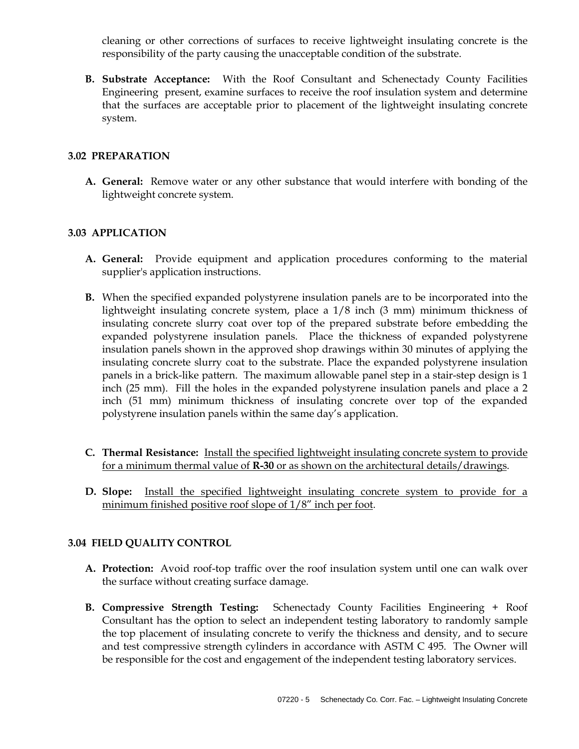cleaning or other corrections of surfaces to receive lightweight insulating concrete is the responsibility of the party causing the unacceptable condition of the substrate.

**B. Substrate Acceptance:** With the Roof Consultant and Schenectady County Facilities Engineering present, examine surfaces to receive the roof insulation system and determine that the surfaces are acceptable prior to placement of the lightweight insulating concrete system.

## **3.02 PREPARATION**

**A. General:** Remove water or any other substance that would interfere with bonding of the lightweight concrete system.

## **3.03 APPLICATION**

- **A. General:** Provide equipment and application procedures conforming to the material supplier's application instructions.
- **B.** When the specified expanded polystyrene insulation panels are to be incorporated into the lightweight insulating concrete system, place a 1/8 inch (3 mm) minimum thickness of insulating concrete slurry coat over top of the prepared substrate before embedding the expanded polystyrene insulation panels. Place the thickness of expanded polystyrene insulation panels shown in the approved shop drawings within 30 minutes of applying the insulating concrete slurry coat to the substrate. Place the expanded polystyrene insulation panels in a brick-like pattern. The maximum allowable panel step in a stair-step design is 1 inch (25 mm). Fill the holes in the expanded polystyrene insulation panels and place a 2 inch (51 mm) minimum thickness of insulating concrete over top of the expanded polystyrene insulation panels within the same day's application.
- **C. Thermal Resistance:** Install the specified lightweight insulating concrete system to provide for a minimum thermal value of **R-30** or as shown on the architectural details/drawings.
- **D. Slope:** Install the specified lightweight insulating concrete system to provide for a minimum finished positive roof slope of 1/8" inch per foot.

## **3.04 FIELD QUALITY CONTROL**

- **A. Protection:** Avoid roof-top traffic over the roof insulation system until one can walk over the surface without creating surface damage.
- **B. Compressive Strength Testing:** Schenectady County Facilities Engineering + Roof Consultant has the option to select an independent testing laboratory to randomly sample the top placement of insulating concrete to verify the thickness and density, and to secure and test compressive strength cylinders in accordance with ASTM C 495. The Owner will be responsible for the cost and engagement of the independent testing laboratory services.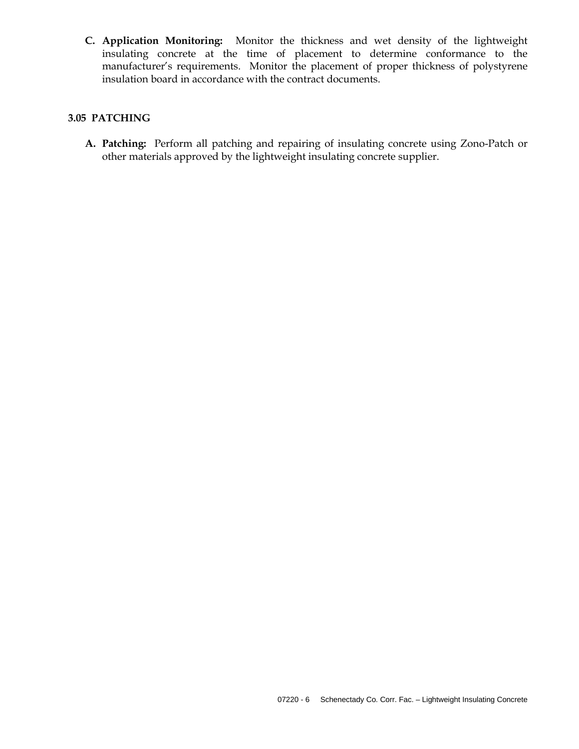**C. Application Monitoring:** Monitor the thickness and wet density of the lightweight insulating concrete at the time of placement to determine conformance to the manufacturer's requirements. Monitor the placement of proper thickness of polystyrene insulation board in accordance with the contract documents.

#### **3.05 PATCHING**

**A. Patching:** Perform all patching and repairing of insulating concrete using Zono-Patch or other materials approved by the lightweight insulating concrete supplier.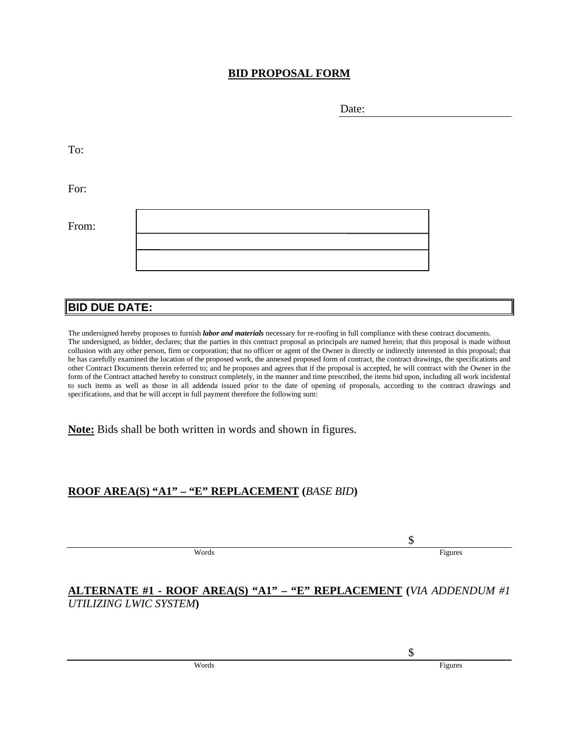## **BID PROPOSAL FORM**

To:

For:

| From: |  |
|-------|--|
|       |  |
|       |  |
|       |  |

# **BID DUE DATE:**

The undersigned hereby proposes to furnish *labor and materials* necessary for re-roofing in full compliance with these contract documents. The undersigned, as bidder, declares; that the parties in this contract proposal as principals are named herein; that this proposal is made without collusion with any other person, firm or corporation; that no officer or agent of the Owner is directly or indirectly interested in this proposal; that he has carefully examined the location of the proposed work, the annexed proposed form of contract, the contract drawings, the specifications and other Contract Documents therein referred to; and he proposes and agrees that if the proposal is accepted, he will contract with the Owner in the form of the Contract attached hereby to construct completely, in the manner and time prescribed, the items bid upon, including all work incidental to such items as well as those in all addenda issued prior to the date of opening of proposals, according to the contract drawings and specifications, and that he will accept in full payment therefore the following sum:

**Note:** Bids shall be both written in words and shown in figures.

# **ROOF AREA(S) "A1" – "E" REPLACEMENT (***BASE BID***)**

Words Figures

## **ALTERNATE #1 - ROOF AREA(S) "A1" – "E" REPLACEMENT (***VIA ADDENDUM #1 UTILIZING LWIC SYSTEM***)**

\$